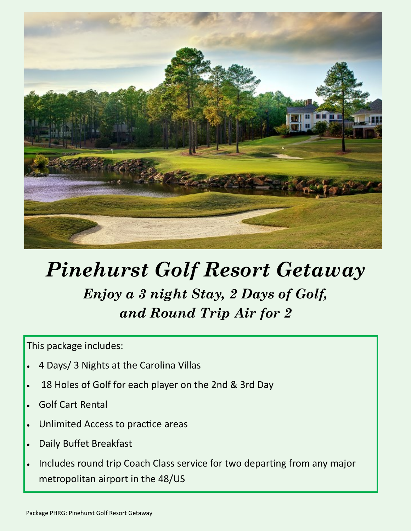

## *Pinehurst Golf Resort Getaway Enjoy a 3 night Stay, 2 Days of Golf, and Round Trip Air for 2*

This package includes:

- 4 Days/ 3 Nights at the Carolina Villas
- 18 Holes of Golf for each player on the 2nd & 3rd Day
- Golf Cart Rental
- Unlimited Access to practice areas
- Daily Buffet Breakfast
- Includes round trip Coach Class service for two departing from any major metropolitan airport in the 48/US